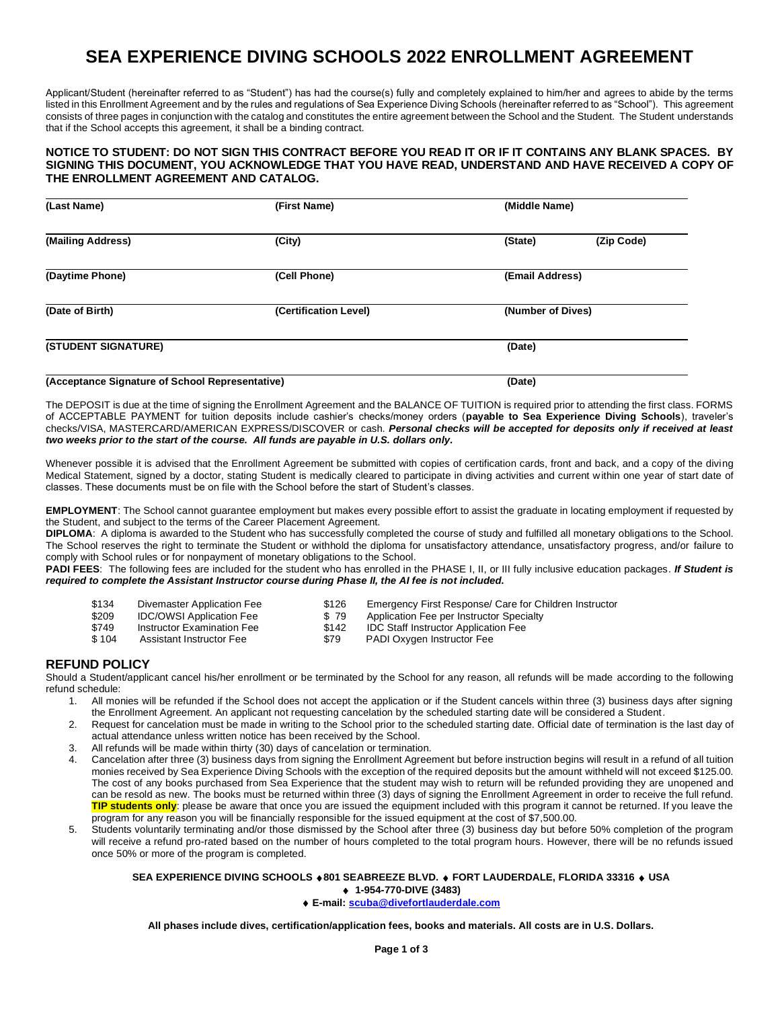# **SEA EXPERIENCE DIVING SCHOOLS 2022 ENROLLMENT AGREEMENT**

Applicant/Student (hereinafter referred to as "Student") has had the course(s) fully and completely explained to him/her and agrees to abide by the terms listed in this Enrollment Agreement and by the rules and regulations of Sea Experience Diving Schools (hereinafter referred to as "School"). This agreement consists of three pages in conjunction with the catalog and constitutes the entire agreement between the School and the Student. The Student understands that if the School accepts this agreement, it shall be a binding contract.

### **NOTICE TO STUDENT: DO NOT SIGN THIS CONTRACT BEFORE YOU READ IT OR IF IT CONTAINS ANY BLANK SPACES. BY SIGNING THIS DOCUMENT, YOU ACKNOWLEDGE THAT YOU HAVE READ, UNDERSTAND AND HAVE RECEIVED A COPY OF THE ENROLLMENT AGREEMENT AND CATALOG.**

| (First Name)          | (Middle Name)     |            |  |  |
|-----------------------|-------------------|------------|--|--|
| (City)                | (State)           | (Zip Code) |  |  |
| (Cell Phone)          | (Email Address)   |            |  |  |
| (Certification Level) | (Number of Dives) |            |  |  |
| (STUDENT SIGNATURE)   |                   | (Date)     |  |  |
|                       |                   |            |  |  |

#### **(Acceptance Signature of School Representative) (Date)**

The DEPOSIT is due at the time of signing the Enrollment Agreement and the BALANCE OF TUITION is required prior to attending the first class. FORMS of ACCEPTABLE PAYMENT for tuition deposits include cashier's checks/money orders (**payable to Sea Experience Diving Schools**), traveler's checks/VISA, MASTERCARD/AMERICAN EXPRESS/DISCOVER or cash. *Personal checks will be accepted for deposits only if received at least two weeks prior to the start of the course. All funds are payable in U.S. dollars only.*

Whenever possible it is advised that the Enrollment Agreement be submitted with copies of certification cards, front and back, and a copy of the diving Medical Statement, signed by a doctor, stating Student is medically cleared to participate in diving activities and current within one year of start date of classes. These documents must be on file with the School before the start of Student's classes.

**EMPLOYMENT**: The School cannot guarantee employment but makes every possible effort to assist the graduate in locating employment if requested by the Student, and subject to the terms of the Career Placement Agreement.

**DIPLOMA**: A diploma is awarded to the Student who has successfully completed the course of study and fulfilled all monetary obligations to the School. The School reserves the right to terminate the Student or withhold the diploma for unsatisfactory attendance, unsatisfactory progress, and/or failure to comply with School rules or for nonpayment of monetary obligations to the School.

**PADI FEES**: The following fees are included for the student who has enrolled in the PHASE I, II, or III fully inclusive education packages*. If Student is required to complete the Assistant Instructor course during Phase II, the AI fee is not included.* 

| \$134 | Divemaster Application Fee      | \$126 | Emergency First Response/ Care for Children Instructor |
|-------|---------------------------------|-------|--------------------------------------------------------|
| \$209 | <b>IDC/OWSI Application Fee</b> | \$79  | Application Fee per Instructor Specialty               |
| \$749 | Instructor Examination Fee      | \$142 | <b>IDC Staff Instructor Application Fee</b>            |
| \$104 | Assistant Instructor Fee        | \$79  | PADI Oxygen Instructor Fee                             |

## **REFUND POLICY**

Should a Student/applicant cancel his/her enrollment or be terminated by the School for any reason, all refunds will be made according to the following refund schedule:

- 1. All monies will be refunded if the School does not accept the application or if the Student cancels within three (3) business days after signing the Enrollment Agreement. An applicant not requesting cancelation by the scheduled starting date will be considered a Student.
- 2. Request for cancelation must be made in writing to the School prior to the scheduled starting date. Official date of termination is the last day of actual attendance unless written notice has been received by the School.
- 3. All refunds will be made within thirty (30) days of cancelation or termination.
- 4. Cancelation after three (3) business days from signing the Enrollment Agreement but before instruction begins will result in a refund of all tuition monies received by Sea Experience Diving Schools with the exception of the required deposits but the amount withheld will not exceed \$125.00. The cost of any books purchased from Sea Experience that the student may wish to return will be refunded providing they are unopened and can be resold as new. The books must be returned within three (3) days of signing the Enrollment Agreement in order to receive the full refund. **TIP students only**: please be aware that once you are issued the equipment included with this program it cannot be returned. If you leave the program for any reason you will be financially responsible for the issued equipment at the cost of \$7,500.00.
- 5. Students voluntarily terminating and/or those dismissed by the School after three (3) business day but before 50% completion of the program will receive a refund pro-rated based on the number of hours completed to the total program hours. However, there will be no refunds issued once 50% or more of the program is completed.

## **SEA EXPERIENCE DIVING SCHOOLS 801 SEABREEZE BLVD. FORT LAUDERDALE, FLORIDA 33316 USA 1-954-770-DIVE (3483)**

**E-mail: [scuba@divefortlauderdale.com](mailto:scuba@divefortlauderdale.com)**

**All phases include dives, certification/application fees, books and materials. All costs are in U.S. Dollars.**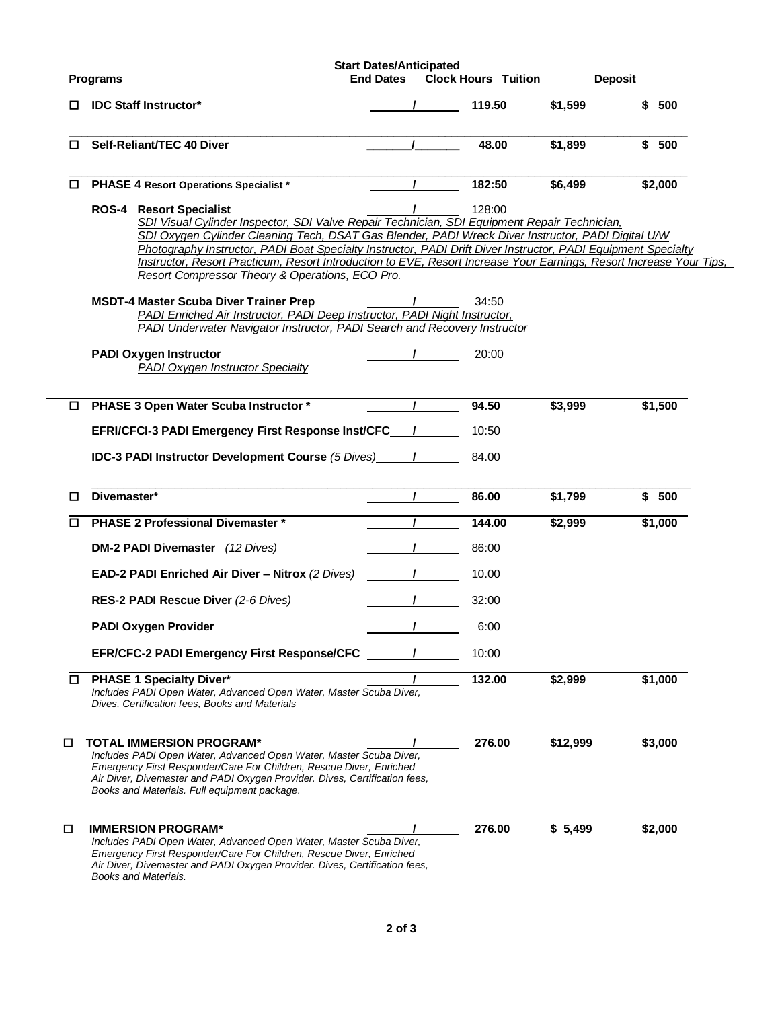|        | <b>Programs</b>                                                                                                                                                                                                                                                                                                                                                                                                                                                                                                                                                                                                                                                                                                                                                                                                         | <b>Start Dates/Anticipated</b><br><b>End Dates</b> | <b>Clock Hours Tuition</b> |          | <b>Deposit</b> |         |
|--------|-------------------------------------------------------------------------------------------------------------------------------------------------------------------------------------------------------------------------------------------------------------------------------------------------------------------------------------------------------------------------------------------------------------------------------------------------------------------------------------------------------------------------------------------------------------------------------------------------------------------------------------------------------------------------------------------------------------------------------------------------------------------------------------------------------------------------|----------------------------------------------------|----------------------------|----------|----------------|---------|
| □      | <b>IDC Staff Instructor*</b>                                                                                                                                                                                                                                                                                                                                                                                                                                                                                                                                                                                                                                                                                                                                                                                            |                                                    | 119.50                     | \$1,599  |                | \$ 500  |
| □      | Self-Reliant/TEC 40 Diver                                                                                                                                                                                                                                                                                                                                                                                                                                                                                                                                                                                                                                                                                                                                                                                               |                                                    | 48.00                      | \$1,899  |                | \$500   |
| □      | <b>PHASE 4 Resort Operations Specialist *</b>                                                                                                                                                                                                                                                                                                                                                                                                                                                                                                                                                                                                                                                                                                                                                                           |                                                    | 182:50                     | \$6,499  |                | \$2,000 |
|        | <b>ROS-4 Resort Specialist</b><br>SDI Visual Cylinder Inspector, SDI Valve Repair Technician, SDI Equipment Repair Technician,<br>SDI Oxygen Cylinder Cleaning Tech, DSAT Gas Blender, PADI Wreck Diver Instructor, PADI Digital U/W<br>Photography Instructor, PADI Boat Specialty Instructor, PADI Drift Diver Instructor, PADI Equipment Specialty<br>Instructor, Resort Practicum, Resort Introduction to EVE, Resort Increase Your Earnings, Resort Increase Your Tips,<br>Resort Compressor Theory & Operations, ECO Pro.<br><b>MSDT-4 Master Scuba Diver Trainer Prep</b><br>PADI Enriched Air Instructor, PADI Deep Instructor, PADI Night Instructor,<br>PADI Underwater Navigator Instructor, PADI Search and Recovery Instructor<br><b>PADI Oxygen Instructor</b><br><b>PADI Oxygen Instructor Specialty</b> |                                                    | 128:00<br>34:50<br>20:00   |          |                |         |
|        | PHASE 3 Open Water Scuba Instructor *                                                                                                                                                                                                                                                                                                                                                                                                                                                                                                                                                                                                                                                                                                                                                                                   | $\mathcal{L}$                                      | 94.50                      | \$3,999  |                | \$1,500 |
|        | EFRI/CFCI-3 PADI Emergency First Response Inst/CFC /                                                                                                                                                                                                                                                                                                                                                                                                                                                                                                                                                                                                                                                                                                                                                                    |                                                    | 10:50                      |          |                |         |
|        |                                                                                                                                                                                                                                                                                                                                                                                                                                                                                                                                                                                                                                                                                                                                                                                                                         |                                                    | 84.00                      |          |                |         |
| □      | Divemaster*                                                                                                                                                                                                                                                                                                                                                                                                                                                                                                                                                                                                                                                                                                                                                                                                             |                                                    | 86.00                      | \$1,799  |                | \$500   |
| п      | <b>PHASE 2 Professional Divemaster *</b>                                                                                                                                                                                                                                                                                                                                                                                                                                                                                                                                                                                                                                                                                                                                                                                |                                                    | 144.00                     | \$2,999  |                | \$1,000 |
|        | <b>DM-2 PADI Divemaster</b> (12 Dives)                                                                                                                                                                                                                                                                                                                                                                                                                                                                                                                                                                                                                                                                                                                                                                                  |                                                    | 86:00<br>$\mathcal{L}$     |          |                |         |
|        | <b>EAD-2 PADI Enriched Air Diver - Nitrox (2 Dives)</b>                                                                                                                                                                                                                                                                                                                                                                                                                                                                                                                                                                                                                                                                                                                                                                 | $\mathcal{L}$                                      | 10.00                      |          |                |         |
|        | RES-2 PADI Rescue Diver (2-6 Dives)                                                                                                                                                                                                                                                                                                                                                                                                                                                                                                                                                                                                                                                                                                                                                                                     |                                                    | 32:00                      |          |                |         |
|        | PADI Oxygen Provider                                                                                                                                                                                                                                                                                                                                                                                                                                                                                                                                                                                                                                                                                                                                                                                                    | $\mathbf{I}$                                       | 6:00                       |          |                |         |
|        | <b>EFR/CFC-2 PADI Emergency First Response/CFC</b>                                                                                                                                                                                                                                                                                                                                                                                                                                                                                                                                                                                                                                                                                                                                                                      |                                                    | 10:00                      |          |                |         |
| $\Box$ | <b>PHASE 1 Specialty Diver*</b><br>Includes PADI Open Water, Advanced Open Water, Master Scuba Diver,<br>Dives, Certification fees, Books and Materials                                                                                                                                                                                                                                                                                                                                                                                                                                                                                                                                                                                                                                                                 |                                                    | 132.00                     | \$2,999  |                | \$1,000 |
| □      | <b>TOTAL IMMERSION PROGRAM*</b><br>Includes PADI Open Water, Advanced Open Water, Master Scuba Diver,<br>Emergency First Responder/Care For Children, Rescue Diver, Enriched<br>Air Diver, Divemaster and PADI Oxygen Provider. Dives, Certification fees,<br>Books and Materials. Full equipment package.                                                                                                                                                                                                                                                                                                                                                                                                                                                                                                              |                                                    | 276.00                     | \$12,999 |                | \$3,000 |
| □      | <b>IMMERSION PROGRAM*</b><br>Includes PADI Open Water, Advanced Open Water, Master Scuba Diver,<br>Emergency First Responder/Care For Children, Rescue Diver, Enriched<br>Air Diver, Divemaster and PADI Oxygen Provider. Dives, Certification fees,<br>Books and Materials.                                                                                                                                                                                                                                                                                                                                                                                                                                                                                                                                            |                                                    | 276.00                     | \$5,499  |                | \$2,000 |